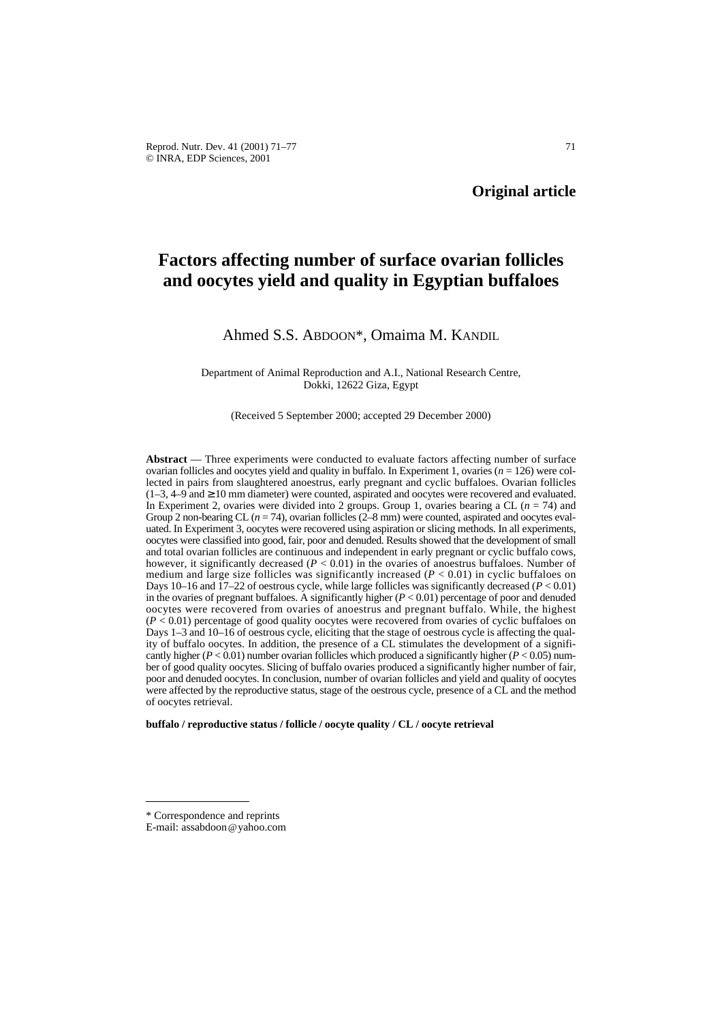# **Factors affecting number of surface ovarian follicles and oocytes yield and quality in Egyptian buffaloes**

# Ahmed S.S. ABDOON\*, Omaima M. KANDIL

Department of Animal Reproduction and A.I., National Research Centre, Dokki, 12622 Giza, Egypt

(Received 5 September 2000; accepted 29 December 2000)

**Abstract** — Three experiments were conducted to evaluate factors affecting number of surface ovarian follicles and oocytes yield and quality in buffalo. In Experiment 1, ovaries  $(n = 126)$  were collected in pairs from slaughtered anoestrus, early pregnant and cyclic buffaloes. Ovarian follicles  $(1-3, 4-9 \text{ and } \ge 10 \text{ mm diameter})$  were counted, aspirated and oocytes were recovered and evaluated. In Experiment 2, ovaries were divided into 2 groups. Group 1, ovaries bearing a CL (*n* = 74) and Group 2 non-bearing CL  $(n = 74)$ , ovarian follicles  $(2-8$  mm) were counted, aspirated and oocytes evaluated. In Experiment 3, oocytes were recovered using aspiration or slicing methods. In all experiments, oocytes were classified into good, fair, poor and denuded. Results showed that the development of small and total ovarian follicles are continuous and independent in early pregnant or cyclic buffalo cows, however, it significantly decreased  $(P < 0.01)$  in the ovaries of anoestrus buffaloes. Number of medium and large size follicles was significantly increased  $(P < 0.01)$  in cyclic buffaloes on Days 10–16 and  $\overline{17-22}$  of oestrous cycle, while large follicles was significantly decreased ( $P < 0.01$ ) in the ovaries of pregnant buffaloes. A significantly higher  $(P < 0.01)$  percentage of poor and denuded oocytes were recovered from ovaries of anoestrus and pregnant buffalo. While, the highest  $(P < 0.01)$  percentage of good quality oocytes were recovered from ovaries of cyclic buffaloes on Days 1–3 and 10–16 of oestrous cycle, eliciting that the stage of oestrous cycle is affecting the quality of buffalo oocytes. In addition, the presence of a CL stimulates the development of a significantly higher ( $P < 0.01$ ) number ovarian follicles which produced a significantly higher ( $P < 0.05$ ) number of good quality oocytes. Slicing of buffalo ovaries produced a significantly higher number of fair, poor and denuded oocytes. In conclusion, number of ovarian follicles and yield and quality of oocytes were affected by the reproductive status, stage of the oestrous cycle, presence of a CL and the method of oocytes retrieval.

**buffalo / reproductive status / follicle / oocyte quality / CL / oocyte retrieval**

<sup>\*</sup> Correspondence and reprints

E-mail: assabdoon@yahoo.com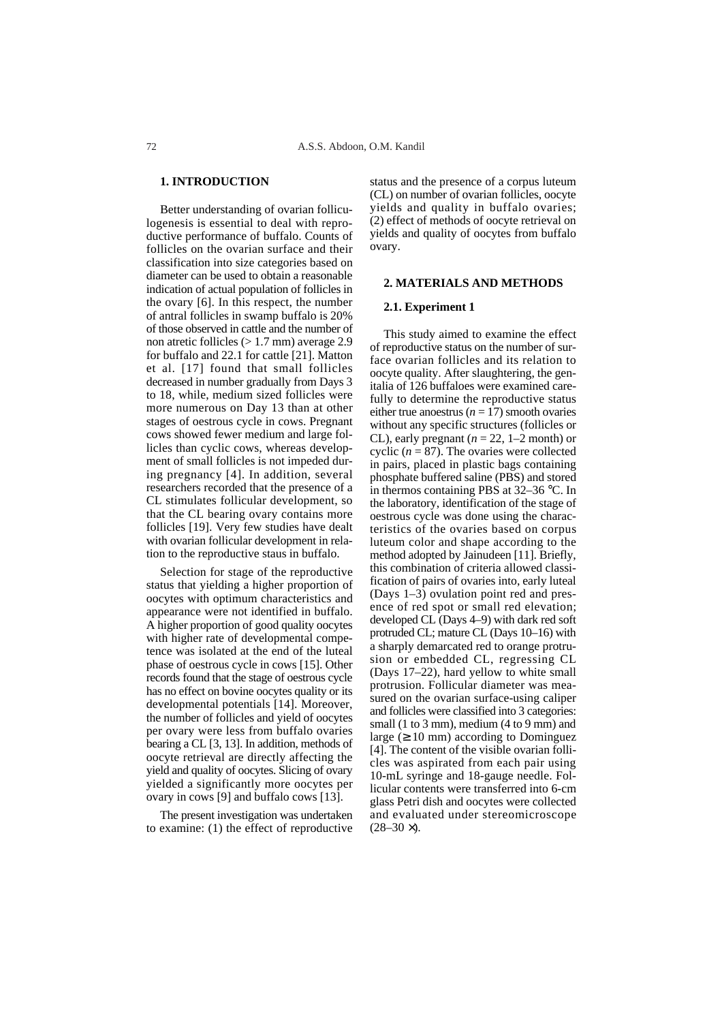# **1. INTRODUCTION**

Better understanding of ovarian folliculogenesis is essential to deal with reproductive performance of buffalo. Counts of follicles on the ovarian surface and their classification into size categories based on diameter can be used to obtain a reasonable indication of actual population of follicles in the ovary [6]. In this respect, the number of antral follicles in swamp buffalo is 20% of those observed in cattle and the number of non atretic follicles (> 1.7 mm) average 2.9 for buffalo and 22.1 for cattle [21]. Matton et al. [17] found that small follicles decreased in number gradually from Days 3 to 18, while, medium sized follicles were more numerous on Day 13 than at other stages of oestrous cycle in cows. Pregnant cows showed fewer medium and large follicles than cyclic cows, whereas development of small follicles is not impeded during pregnancy [4]. In addition, several researchers recorded that the presence of a CL stimulates follicular development, so that the CL bearing ovary contains more follicles [19]. Very few studies have dealt with ovarian follicular development in relation to the reproductive staus in buffalo.

Selection for stage of the reproductive status that yielding a higher proportion of oocytes with optimum characteristics and appearance were not identified in buffalo. A higher proportion of good quality oocytes with higher rate of developmental competence was isolated at the end of the luteal phase of oestrous cycle in cows [15]. Other records found that the stage of oestrous cycle has no effect on bovine oocytes quality or its developmental potentials [14]. Moreover, the number of follicles and yield of oocytes per ovary were less from buffalo ovaries bearing a CL [3, 13]. In addition, methods of oocyte retrieval are directly affecting the yield and quality of oocytes. Slicing of ovary yielded a significantly more oocytes per ovary in cows [9] and buffalo cows [13].

The present investigation was undertaken to examine: (1) the effect of reproductive status and the presence of a corpus luteum (CL) on number of ovarian follicles, oocyte yields and quality in buffalo ovaries; (2) effect of methods of oocyte retrieval on yields and quality of oocytes from buffalo ovary.

#### **2. MATERIALS AND METHODS**

## **2.1. Experiment 1**

This study aimed to examine the effect of reproductive status on the number of surface ovarian follicles and its relation to oocyte quality. After slaughtering, the genitalia of 126 buffaloes were examined carefully to determine the reproductive status either true anoestrus ( $n = 17$ ) smooth ovaries without any specific structures (follicles or CL), early pregnant  $(n = 22, 1-2 \text{ month})$  or cyclic  $(n = 87)$ . The ovaries were collected in pairs, placed in plastic bags containing phosphate buffered saline (PBS) and stored in thermos containing PBS at 32–36 °C. In the laboratory, identification of the stage of oestrous cycle was done using the characteristics of the ovaries based on corpus luteum color and shape according to the method adopted by Jainudeen [11]. Briefly, this combination of criteria allowed classification of pairs of ovaries into, early luteal (Days 1–3) ovulation point red and presence of red spot or small red elevation; developed CL (Days 4–9) with dark red soft protruded CL; mature CL (Days 10–16) with a sharply demarcated red to orange protrusion or embedded CL, regressing CL (Days 17–22), hard yellow to white small protrusion. Follicular diameter was measured on the ovarian surface-using caliper and follicles were classified into 3 categories: small (1 to 3 mm), medium (4 to 9 mm) and large  $(≥ 10$  mm) according to Dominguez [4]. The content of the visible ovarian follicles was aspirated from each pair using 10-mL syringe and 18-gauge needle. Follicular contents were transferred into 6-cm glass Petri dish and oocytes were collected and evaluated under stereomicroscope  $(28-30 \times)$ .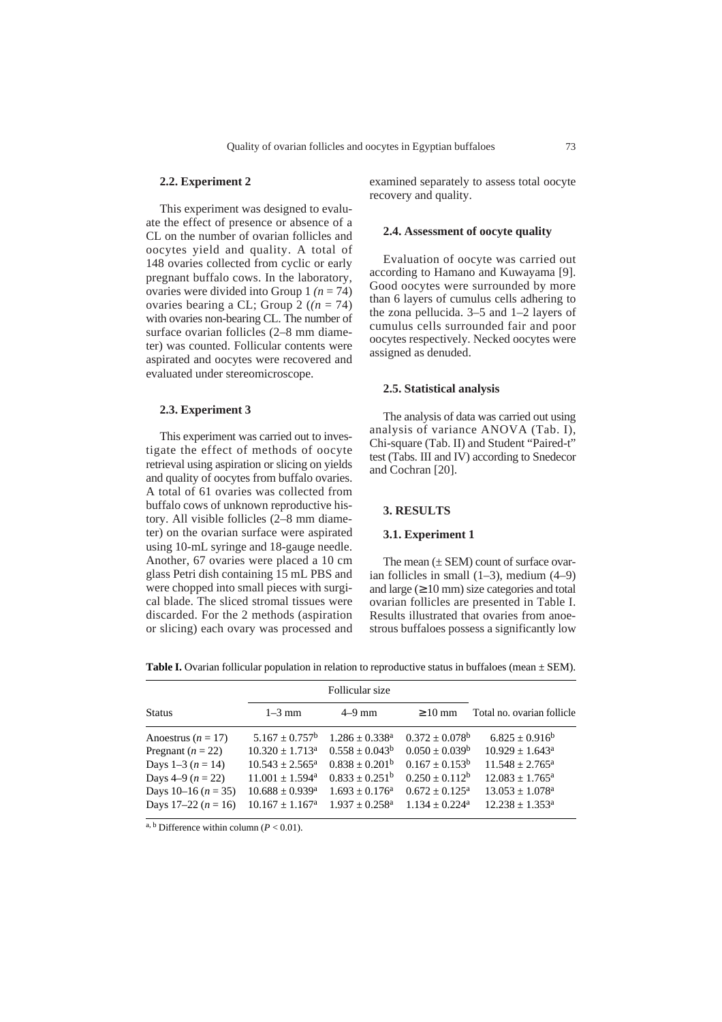# **2.2. Experiment 2**

This experiment was designed to evaluate the effect of presence or absence of a CL on the number of ovarian follicles and oocytes yield and quality. A total of 148 ovaries collected from cyclic or early pregnant buffalo cows. In the laboratory, ovaries were divided into Group 1 *(n* = 74) ovaries bearing a CL; Group  $2((n = 74))$ with ovaries non-bearing CL. The number of surface ovarian follicles (2–8 mm diameter) was counted. Follicular contents were aspirated and oocytes were recovered and evaluated under stereomicroscope.

#### **2.3. Experiment 3**

This experiment was carried out to investigate the effect of methods of oocyte retrieval using aspiration or slicing on yields and quality of oocytes from buffalo ovaries. A total of 61 ovaries was collected from buffalo cows of unknown reproductive history. All visible follicles (2–8 mm diameter) on the ovarian surface were aspirated using 10-mL syringe and 18-gauge needle. Another, 67 ovaries were placed a 10 cm glass Petri dish containing 15 mL PBS and were chopped into small pieces with surgical blade. The sliced stromal tissues were discarded. For the 2 methods (aspiration or slicing) each ovary was processed and examined separately to assess total oocyte recovery and quality.

# **2.4. Assessment of oocyte quality**

Evaluation of oocyte was carried out according to Hamano and Kuwayama [9]. Good oocytes were surrounded by more than 6 layers of cumulus cells adhering to the zona pellucida. 3–5 and 1–2 layers of cumulus cells surrounded fair and poor oocytes respectively. Necked oocytes were assigned as denuded.

#### **2.5. Statistical analysis**

The analysis of data was carried out using analysis of variance ANOVA (Tab. I), Chi-square (Tab. II) and Student "Paired-t" test (Tabs. III and IV) according to Snedecor and Cochran [20].

# **3. RESULTS**

#### **3.1. Experiment 1**

The mean  $(\pm$  SEM) count of surface ovarian follicles in small  $(1–3)$ , medium  $(4–9)$ and large  $(≥ 10$  mm) size categories and total ovarian follicles are presented in Table I. Results illustrated that ovaries from anoestrous buffaloes possess a significantly low

**Table I.** Ovarian follicular population in relation to reproductive status in buffaloes (mean  $\pm$  SEM).

|                        | Follicular size               |                     |                     |                               |
|------------------------|-------------------------------|---------------------|---------------------|-------------------------------|
| <b>Status</b>          | $1-3$ mm                      | $4-9$ mm            | $>10 \text{ mm}$    | Total no. ovarian follicle    |
| Anoestrus ( $n = 17$ ) | $5.167 \pm 0.757^b$           | $1.286 + 0.338^a$   | $0.372 + 0.078^b$   | $6.825 \pm 0.916^b$           |
| Pregnant ( $n = 22$ )  | $10.320 + 1.713^a$            | $0.558 \pm 0.043^b$ | $0.050 \pm 0.039^b$ | $10.929 + 1.643^a$            |
| Days $1-3(n = 14)$     | $10.543 \pm 2.565^{\text{a}}$ | $0.838 \pm 0.201^b$ | $0.167 \pm 0.153^b$ | $11.548 \pm 2.765^{\text{a}}$ |
| Days 4–9 $(n = 22)$    | $11.001 + 1.594$ <sup>a</sup> | $0.833 + 0.251^b$   | $0.250 + 0.112^b$   | $12.083 + 1.765^{\circ}$      |
| Days 10–16 $(n = 35)$  | $10.688 \pm 0.939^{\text{a}}$ | $1.693 \pm 0.176^a$ | $0.672 + 0.125^a$   | $13.053 \pm 1.078^a$          |
| Days $17-22 (n = 16)$  | $10.167 \pm 1.167^{\text{a}}$ | $1.937 + 0.258^a$   | $1.134 + 0.224^a$   | $12.238 \pm 1.353^a$          |

<sup>a, b</sup> Difference within column ( $P < 0.01$ ).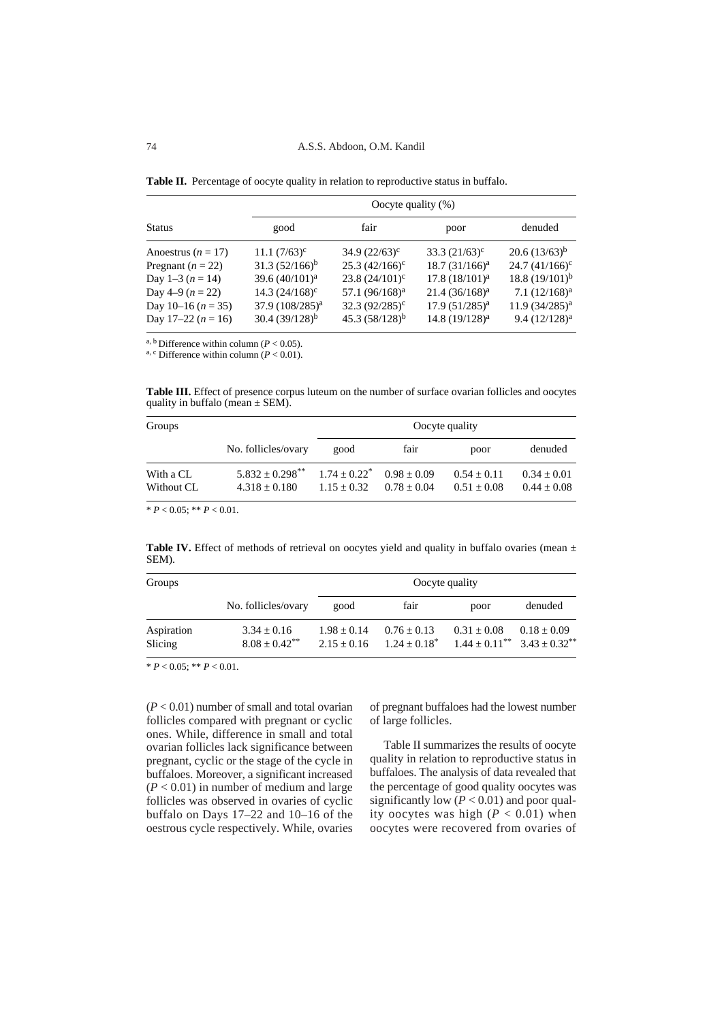Table II. Percentage of oocyte quality in relation to reproductive status in buffalo.

|                        | Oocyte quality $(\%)$       |                            |                  |                     |  |  |
|------------------------|-----------------------------|----------------------------|------------------|---------------------|--|--|
| <b>Status</b>          | good                        | fair                       | poor             | denuded             |  |  |
| Anoestrus ( $n = 17$ ) | $11.1 (7/63)^c$             | $34.9(22/63)^c$            | $33.3 (21/63)^c$ | $20.6(13/63)^{b}$   |  |  |
| Pregnant ( $n = 22$ )  | $31.3 (52/166)^{b}$         | $25.3 (42/166)^c$          | $18.7(31/166)^a$ | $24.7(41/166)^c$    |  |  |
| Day 1-3 ( $n = 14$ )   | 39.6 $(40/101)^a$           | $23.8(24/101)^c$           | $17.8(18/101)^a$ | 18.8 $(19/101)^{b}$ |  |  |
| Day 4–9 $(n = 22)$     | $14.3 (24/168)^c$           | 57.1 (96/168) <sup>a</sup> | $21.4(36/168)^a$ | $7.1 (12/168)^a$    |  |  |
| Day 10–16 $(n = 35)$   | 37.9 (108/285) <sup>a</sup> | $32.3(92/285)^{\circ}$     | $17.9(51/285)^a$ | $11.9(34/285)^a$    |  |  |
| Day 17-22 ( $n = 16$ ) | $30.4(39/128)^{b}$          | $45.3 (58/128)^b$          | $14.8(19/128)^a$ | $9.4(12/128)^a$     |  |  |

<sup>a, b</sup> Difference within column ( $P < 0.05$ ).<br><sup>a, c</sup> Difference within column ( $P < 0.01$ ).

**Table III.** Effect of presence corpus luteum on the number of surface ovarian follicles and oocytes quality in buffalo (mean  $\pm$  SEM).

| Groups     |                      | Oocyte quality  |               |               |                 |
|------------|----------------------|-----------------|---------------|---------------|-----------------|
|            | No. follicles/ovary  | good            | fair          | poor          | denuded         |
| With a CL  | $5.832 + 0.298^{**}$ | $1.74 + 0.22^*$ | $0.98 + 0.09$ | $0.54 + 0.11$ | $0.34 + 0.01$   |
| Without CL | $4.318 + 0.180$      | $1.15 + 0.32$   | $0.78 + 0.04$ | $0.51 + 0.08$ | $0.44 \pm 0.08$ |

 $* P < 0.05$ ;  $* P < 0.01$ .

**Table IV.** Effect of methods of retrieval on oocytes yield and quality in buffalo ovaries (mean  $\pm$ SEM).

| Groups                | Oocyte quality                        |                                |                                    |                                                            |               |
|-----------------------|---------------------------------------|--------------------------------|------------------------------------|------------------------------------------------------------|---------------|
|                       | No. follicles/ovary                   | good                           | fair                               | poor                                                       | denuded       |
| Aspiration<br>Slicing | $3.34 \pm 0.16$<br>$8.08 + 0.42^{**}$ | $1.98 + 0.14$<br>$2.15 + 0.16$ | $0.76 \pm 0.13$<br>$1.24 + 0.18^*$ | $0.31 + 0.08$<br>$1.44 \pm 0.11^{**}$ $3.43 \pm 0.32^{**}$ | $0.18 + 0.09$ |

 $* P < 0.05$ ;  $* P < 0.01$ .

(*P* < 0.01) number of small and total ovarian follicles compared with pregnant or cyclic ones. While, difference in small and total ovarian follicles lack significance between pregnant, cyclic or the stage of the cycle in buffaloes. Moreover, a significant increased (*P* < 0.01) in number of medium and large follicles was observed in ovaries of cyclic buffalo on Days 17–22 and 10–16 of the oestrous cycle respectively. While, ovaries

of pregnant buffaloes had the lowest number of large follicles.

Table II summarizes the results of oocyte quality in relation to reproductive status in buffaloes. The analysis of data revealed that the percentage of good quality oocytes was significantly low  $(P < 0.01)$  and poor quality oocytes was high  $(P < 0.01)$  when oocytes were recovered from ovaries of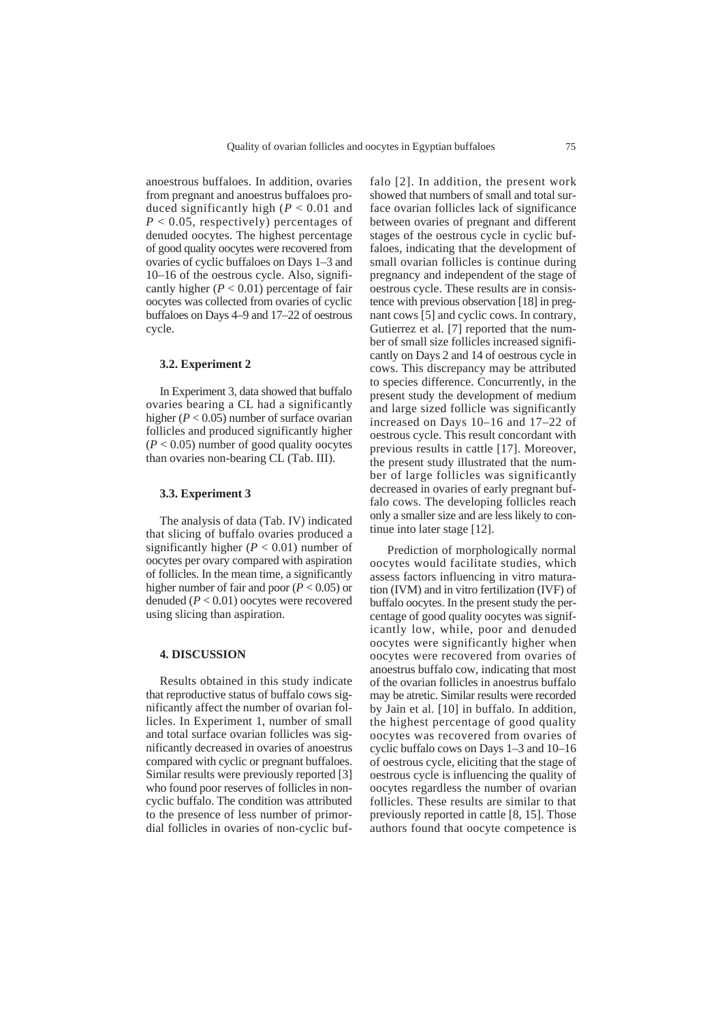anoestrous buffaloes. In addition, ovaries from pregnant and anoestrus buffaloes produced significantly high (*P* < 0.01 and *P* < 0.05, respectively) percentages of denuded oocytes. The highest percentage of good quality oocytes were recovered from ovaries of cyclic buffaloes on Days 1–3 and 10–16 of the oestrous cycle. Also, significantly higher  $(P < 0.01)$  percentage of fair oocytes was collected from ovaries of cyclic buffaloes on Days 4–9 and 17–22 of oestrous cycle.

# **3.2. Experiment 2**

In Experiment 3, data showed that buffalo ovaries bearing a CL had a significantly higher  $(P < 0.05)$  number of surface ovarian follicles and produced significantly higher  $(P < 0.05)$  number of good quality oocytes than ovaries non-bearing CL (Tab. III).

#### **3.3. Experiment 3**

The analysis of data (Tab. IV) indicated that slicing of buffalo ovaries produced a significantly higher ( $P < 0.01$ ) number of oocytes per ovary compared with aspiration of follicles. In the mean time, a significantly higher number of fair and poor (*P* < 0.05) or denuded (*P* < 0.01) oocytes were recovered using slicing than aspiration.

#### **4. DISCUSSION**

Results obtained in this study indicate that reproductive status of buffalo cows significantly affect the number of ovarian follicles. In Experiment 1, number of small and total surface ovarian follicles was significantly decreased in ovaries of anoestrus compared with cyclic or pregnant buffaloes. Similar results were previously reported [3] who found poor reserves of follicles in noncyclic buffalo. The condition was attributed to the presence of less number of primordial follicles in ovaries of non-cyclic buf-

falo [2]. In addition, the present work showed that numbers of small and total surface ovarian follicles lack of significance between ovaries of pregnant and different stages of the oestrous cycle in cyclic buffaloes, indicating that the development of small ovarian follicles is continue during pregnancy and independent of the stage of oestrous cycle. These results are in consistence with previous observation [18] in pregnant cows [5] and cyclic cows. In contrary, Gutierrez et al. [7] reported that the number of small size follicles increased significantly on Days 2 and 14 of oestrous cycle in cows. This discrepancy may be attributed to species difference. Concurrently, in the present study the development of medium and large sized follicle was significantly increased on Days 10–16 and 17–22 of oestrous cycle. This result concordant with previous results in cattle [17]. Moreover, the present study illustrated that the number of large follicles was significantly decreased in ovaries of early pregnant buffalo cows. The developing follicles reach only a smaller size and are less likely to continue into later stage [12].

Prediction of morphologically normal oocytes would facilitate studies, which assess factors influencing in vitro maturation (IVM) and in vitro fertilization (IVF) of buffalo oocytes. In the present study the percentage of good quality oocytes was significantly low, while, poor and denuded oocytes were significantly higher when oocytes were recovered from ovaries of anoestrus buffalo cow, indicating that most of the ovarian follicles in anoestrus buffalo may be atretic. Similar results were recorded by Jain et al. [10] in buffalo. In addition, the highest percentage of good quality oocytes was recovered from ovaries of cyclic buffalo cows on Days 1–3 and 10–16 of oestrous cycle, eliciting that the stage of oestrous cycle is influencing the quality of oocytes regardless the number of ovarian follicles. These results are similar to that previously reported in cattle [8, 15]. Those authors found that oocyte competence is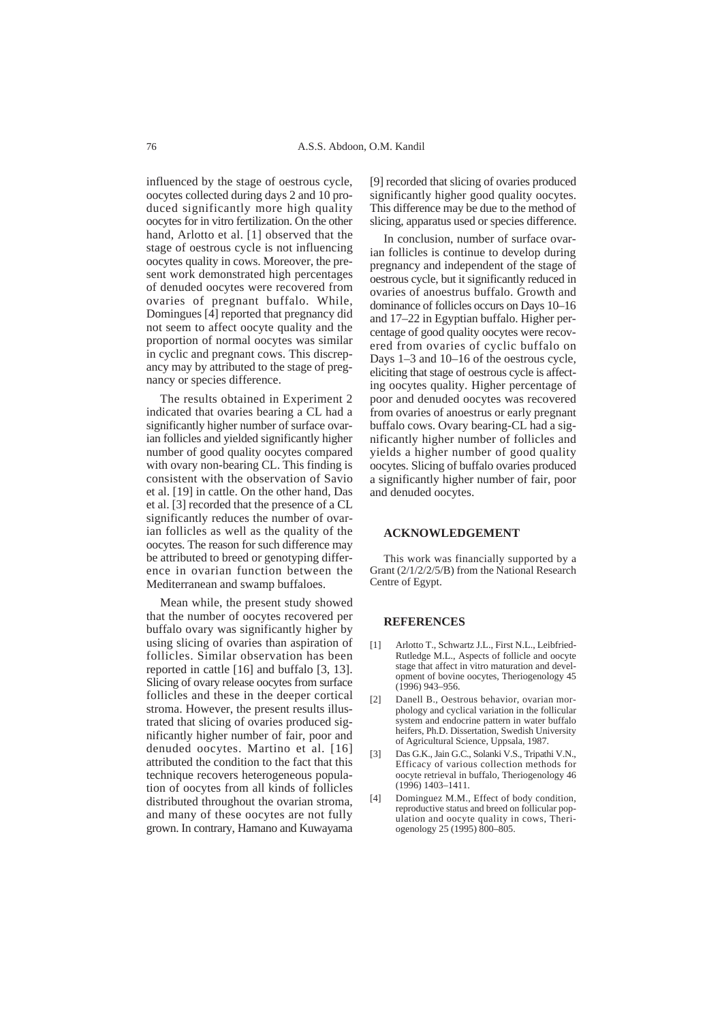influenced by the stage of oestrous cycle, oocytes collected during days 2 and 10 produced significantly more high quality oocytes for in vitro fertilization. On the other hand, Arlotto et al. [1] observed that the stage of oestrous cycle is not influencing oocytes quality in cows. Moreover, the present work demonstrated high percentages of denuded oocytes were recovered from ovaries of pregnant buffalo. While, Domingues [4] reported that pregnancy did not seem to affect oocyte quality and the proportion of normal oocytes was similar in cyclic and pregnant cows. This discrepancy may by attributed to the stage of pregnancy or species difference.

The results obtained in Experiment 2 indicated that ovaries bearing a CL had a significantly higher number of surface ovarian follicles and yielded significantly higher number of good quality oocytes compared with ovary non-bearing CL. This finding is consistent with the observation of Savio et al. [19] in cattle. On the other hand, Das et al. [3] recorded that the presence of a CL significantly reduces the number of ovarian follicles as well as the quality of the oocytes. The reason for such difference may be attributed to breed or genotyping difference in ovarian function between the Mediterranean and swamp buffaloes.

Mean while, the present study showed that the number of oocytes recovered per buffalo ovary was significantly higher by using slicing of ovaries than aspiration of follicles. Similar observation has been reported in cattle [16] and buffalo [3, 13]. Slicing of ovary release oocytes from surface follicles and these in the deeper cortical stroma. However, the present results illustrated that slicing of ovaries produced significantly higher number of fair, poor and denuded oocytes. Martino et al. [16] attributed the condition to the fact that this technique recovers heterogeneous population of oocytes from all kinds of follicles distributed throughout the ovarian stroma, and many of these oocytes are not fully grown. In contrary, Hamano and Kuwayama

[9] recorded that slicing of ovaries produced significantly higher good quality oocytes. This difference may be due to the method of slicing, apparatus used or species difference.

In conclusion, number of surface ovarian follicles is continue to develop during pregnancy and independent of the stage of oestrous cycle, but it significantly reduced in ovaries of anoestrus buffalo. Growth and dominance of follicles occurs on Days 10–16 and 17–22 in Egyptian buffalo. Higher percentage of good quality oocytes were recovered from ovaries of cyclic buffalo on Days 1–3 and 10–16 of the oestrous cycle, eliciting that stage of oestrous cycle is affecting oocytes quality. Higher percentage of poor and denuded oocytes was recovered from ovaries of anoestrus or early pregnant buffalo cows. Ovary bearing-CL had a significantly higher number of follicles and yields a higher number of good quality oocytes. Slicing of buffalo ovaries produced a significantly higher number of fair, poor and denuded oocytes.

#### **ACKNOWLEDGEMENT**

This work was financially supported by a Grant (2/1/2/2/5/B) from the National Research Centre of Egypt.

#### **REFERENCES**

- [1] Arlotto T., Schwartz J.L., First N.L., Leibfried-Rutledge M.L., Aspects of follicle and oocyte stage that affect in vitro maturation and development of bovine oocytes, Theriogenology 45 (1996) 943–956.
- [2] Danell B., Oestrous behavior, ovarian morphology and cyclical variation in the follicular system and endocrine pattern in water buffalo heifers, Ph.D. Dissertation, Swedish University of Agricultural Science, Uppsala, 1987.
- [3] Das G.K., Jain G.C., Solanki V.S., Tripathi V.N., Efficacy of various collection methods for oocyte retrieval in buffalo, Theriogenology 46 (1996) 1403–1411.
- [4] Dominguez M.M., Effect of body condition, reproductive status and breed on follicular population and oocyte quality in cows, Theriogenology 25 (1995) 800–805.